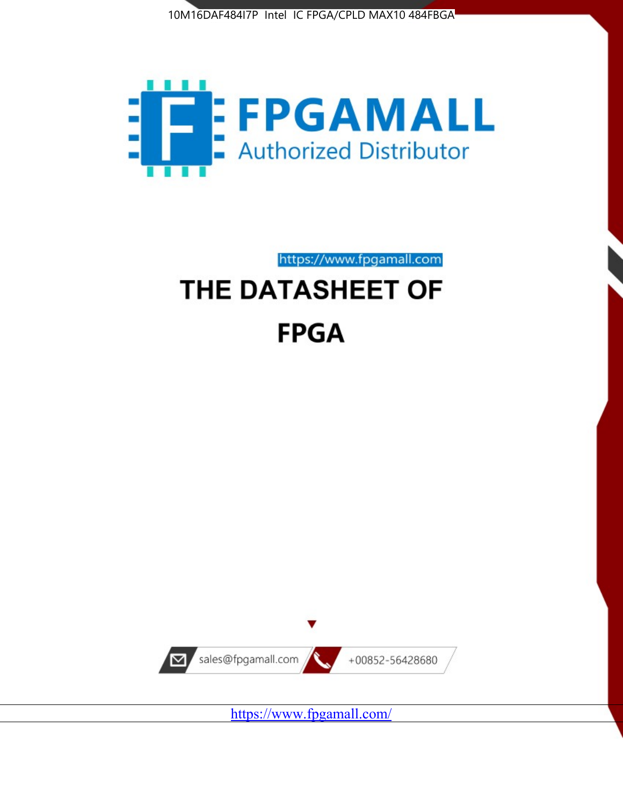



https://www.fpgamall.com

# THE DATASHEET OF **FPGA**



<https://www.fpgamall.com/>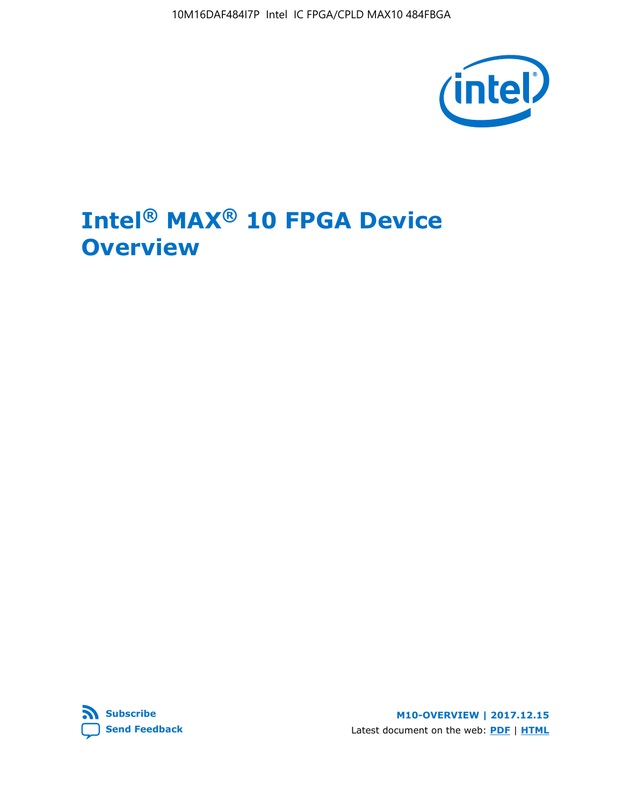10M16DAF484I7P Intel IC FPGA/CPLD MAX10 484FBGA



# **Intel® MAX® 10 FPGA Device Overview**



**M10-OVERVIEW | 2017.12.15** Latest document on the web: **[PDF](https://www.altera.com/en_US/pdfs/literature/hb/max-10/m10_overview.pdf)** | **[HTML](https://www.altera.com/documentation/myt1396938463674.html)**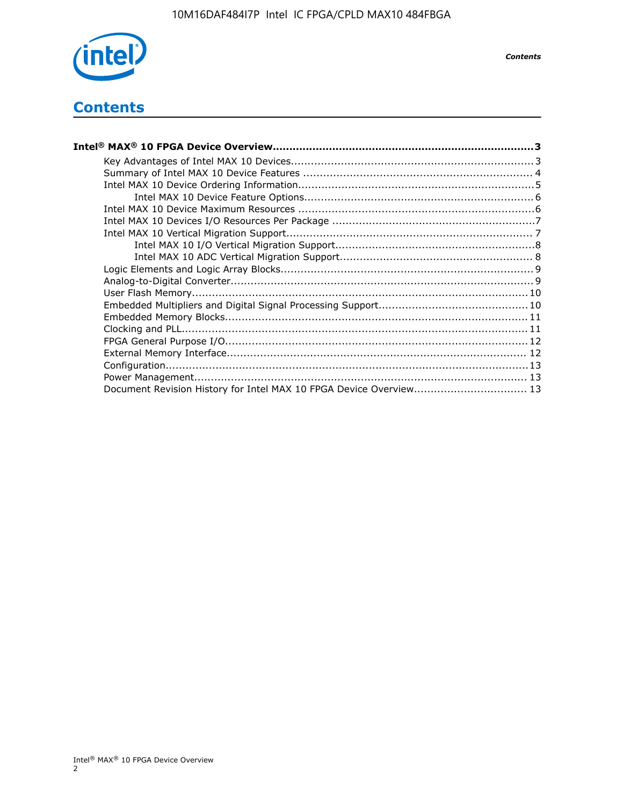

*Contents*

# **Contents**

| Intel® MAX® 10 FPGA Device Overview…………………………………………………………………………………………3 |  |
|------------------------------------------------------------------------|--|
|                                                                        |  |
|                                                                        |  |
|                                                                        |  |
|                                                                        |  |
|                                                                        |  |
|                                                                        |  |
|                                                                        |  |
|                                                                        |  |
|                                                                        |  |
|                                                                        |  |
|                                                                        |  |
|                                                                        |  |
|                                                                        |  |
|                                                                        |  |
|                                                                        |  |
|                                                                        |  |
|                                                                        |  |
|                                                                        |  |
|                                                                        |  |
| Document Revision History for Intel MAX 10 FPGA Device Overview 13     |  |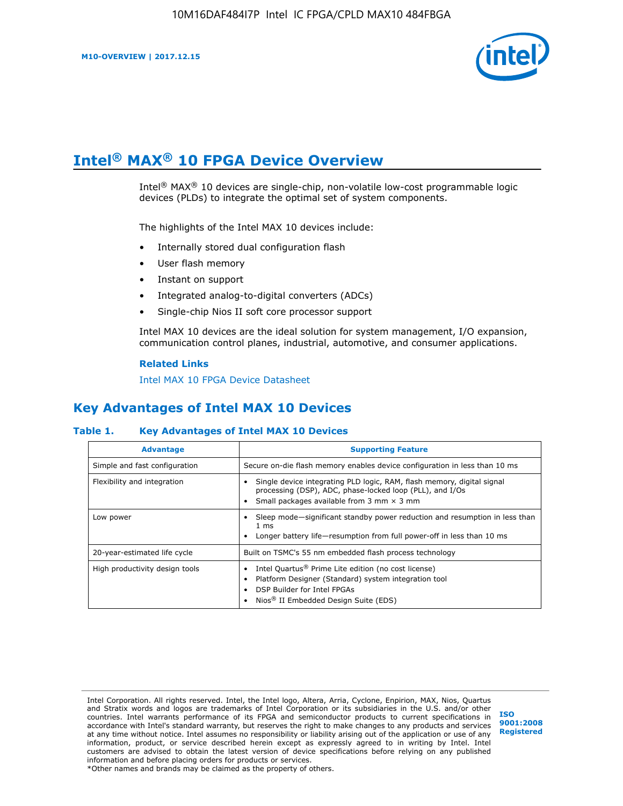

# **Intel® MAX® 10 FPGA Device Overview**

Intel<sup>®</sup> MAX<sup>®</sup> 10 devices are single-chip, non-volatile low-cost programmable logic devices (PLDs) to integrate the optimal set of system components.

The highlights of the Intel MAX 10 devices include:

- Internally stored dual configuration flash
- User flash memory
- Instant on support
- Integrated analog-to-digital converters (ADCs)
- Single-chip Nios II soft core processor support

Intel MAX 10 devices are the ideal solution for system management, I/O expansion, communication control planes, industrial, automotive, and consumer applications.

#### **Related Links**

[Intel MAX 10 FPGA Device Datasheet](https://www.altera.com/documentation/mcn1397700832153.html#mcn1397643748870)

## **Key Advantages of Intel MAX 10 Devices**

#### **Table 1. Key Advantages of Intel MAX 10 Devices**

| <b>Advantage</b>               | <b>Supporting Feature</b>                                                                                                                                                                                  |  |  |  |
|--------------------------------|------------------------------------------------------------------------------------------------------------------------------------------------------------------------------------------------------------|--|--|--|
| Simple and fast configuration  | Secure on-die flash memory enables device configuration in less than 10 ms                                                                                                                                 |  |  |  |
| Flexibility and integration    | Single device integrating PLD logic, RAM, flash memory, digital signal<br>processing (DSP), ADC, phase-locked loop (PLL), and I/Os<br>Small packages available from 3 mm $\times$ 3 mm                     |  |  |  |
| Low power                      | Sleep mode—significant standby power reduction and resumption in less than<br>$1 \text{ ms}$<br>Longer battery life-resumption from full power-off in less than 10 ms                                      |  |  |  |
| 20-year-estimated life cycle   | Built on TSMC's 55 nm embedded flash process technology                                                                                                                                                    |  |  |  |
| High productivity design tools | Intel Quartus <sup>®</sup> Prime Lite edition (no cost license)<br>Platform Designer (Standard) system integration tool<br>DSP Builder for Intel FPGAs<br>Nios <sup>®</sup> II Embedded Design Suite (EDS) |  |  |  |

Intel Corporation. All rights reserved. Intel, the Intel logo, Altera, Arria, Cyclone, Enpirion, MAX, Nios, Quartus and Stratix words and logos are trademarks of Intel Corporation or its subsidiaries in the U.S. and/or other countries. Intel warrants performance of its FPGA and semiconductor products to current specifications in accordance with Intel's standard warranty, but reserves the right to make changes to any products and services at any time without notice. Intel assumes no responsibility or liability arising out of the application or use of any information, product, or service described herein except as expressly agreed to in writing by Intel. Intel customers are advised to obtain the latest version of device specifications before relying on any published information and before placing orders for products or services. \*Other names and brands may be claimed as the property of others.

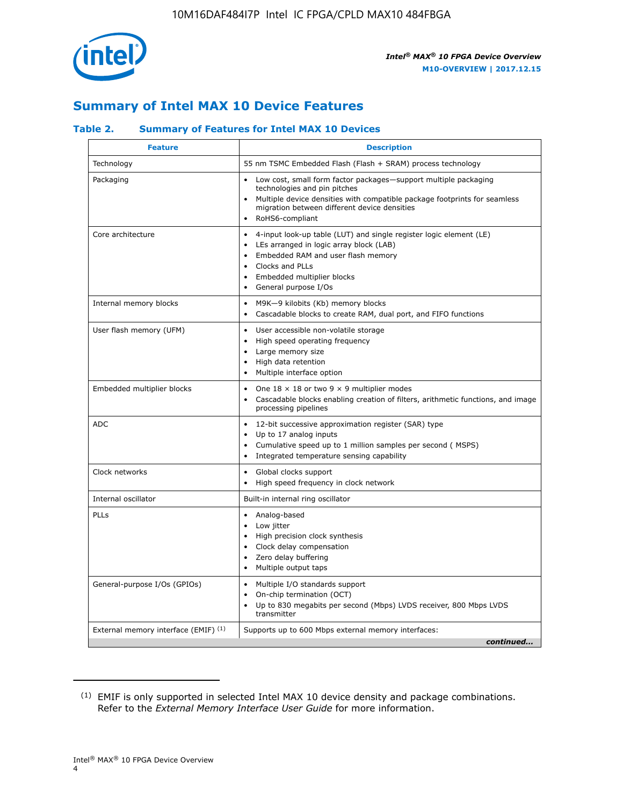

## **Summary of Intel MAX 10 Device Features**

#### **Table 2. Summary of Features for Intel MAX 10 Devices**

| <b>Feature</b>                       | <b>Description</b>                                                                                                                                                                                                                                                               |
|--------------------------------------|----------------------------------------------------------------------------------------------------------------------------------------------------------------------------------------------------------------------------------------------------------------------------------|
| Technology                           | 55 nm TSMC Embedded Flash (Flash + SRAM) process technology                                                                                                                                                                                                                      |
| Packaging                            | Low cost, small form factor packages-support multiple packaging<br>technologies and pin pitches<br>Multiple device densities with compatible package footprints for seamless<br>migration between different device densities<br>RoHS6-compliant                                  |
| Core architecture                    | 4-input look-up table (LUT) and single register logic element (LE)<br>LEs arranged in logic array block (LAB)<br>$\bullet$<br>Embedded RAM and user flash memory<br>Clocks and PLLs<br>$\bullet$<br>Embedded multiplier blocks<br>$\bullet$<br>General purpose I/Os<br>$\bullet$ |
| Internal memory blocks               | M9K-9 kilobits (Kb) memory blocks<br>$\bullet$<br>Cascadable blocks to create RAM, dual port, and FIFO functions<br>$\bullet$                                                                                                                                                    |
| User flash memory (UFM)              | User accessible non-volatile storage<br>$\bullet$<br>High speed operating frequency<br>$\bullet$<br>Large memory size<br>High data retention<br>$\bullet$<br>Multiple interface option<br>$\bullet$                                                                              |
| Embedded multiplier blocks           | One $18 \times 18$ or two 9 $\times$ 9 multiplier modes<br>$\bullet$<br>Cascadable blocks enabling creation of filters, arithmetic functions, and image<br>processing pipelines                                                                                                  |
| <b>ADC</b>                           | 12-bit successive approximation register (SAR) type<br>$\bullet$<br>Up to 17 analog inputs<br>$\bullet$<br>Cumulative speed up to 1 million samples per second (MSPS)<br>Integrated temperature sensing capability                                                               |
| Clock networks                       | Global clocks support<br>$\bullet$<br>High speed frequency in clock network                                                                                                                                                                                                      |
| Internal oscillator                  | Built-in internal ring oscillator                                                                                                                                                                                                                                                |
| PLLs                                 | Analog-based<br>Low jitter<br>$\bullet$<br>High precision clock synthesis<br>Clock delay compensation<br>$\bullet$<br>Zero delay buffering<br>$\bullet$<br>Multiple output taps<br>٠                                                                                             |
| General-purpose I/Os (GPIOs)         | Multiple I/O standards support<br>$\bullet$<br>On-chip termination (OCT)<br>$\bullet$<br>Up to 830 megabits per second (Mbps) LVDS receiver, 800 Mbps LVDS<br>transmitter                                                                                                        |
| External memory interface (EMIF) (1) | Supports up to 600 Mbps external memory interfaces:<br>continued                                                                                                                                                                                                                 |

<sup>(1)</sup> EMIF is only supported in selected Intel MAX 10 device density and package combinations. Refer to the *External Memory Interface User Guide* for more information.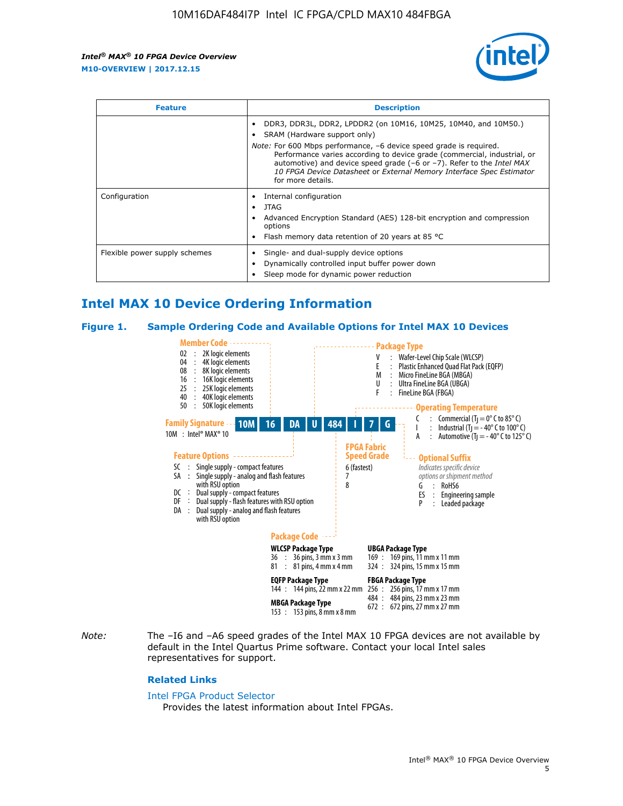

| <b>Feature</b>                | <b>Description</b>                                                                                                                                                                                                                                                                                                                                                                                                            |  |  |  |
|-------------------------------|-------------------------------------------------------------------------------------------------------------------------------------------------------------------------------------------------------------------------------------------------------------------------------------------------------------------------------------------------------------------------------------------------------------------------------|--|--|--|
|                               | DDR3, DDR3L, DDR2, LPDDR2 (on 10M16, 10M25, 10M40, and 10M50.)<br>SRAM (Hardware support only)<br><i>Note:</i> For 600 Mbps performance, -6 device speed grade is required.<br>Performance varies according to device grade (commercial, industrial, or<br>automotive) and device speed grade (-6 or -7). Refer to the Intel MAX<br>10 FPGA Device Datasheet or External Memory Interface Spec Estimator<br>for more details. |  |  |  |
| Configuration                 | Internal configuration<br>JTAG<br>٠<br>Advanced Encryption Standard (AES) 128-bit encryption and compression<br>options<br>Flash memory data retention of 20 years at 85 $^{\circ}$ C                                                                                                                                                                                                                                         |  |  |  |
| Flexible power supply schemes | Single- and dual-supply device options<br>Dynamically controlled input buffer power down<br>Sleep mode for dynamic power reduction                                                                                                                                                                                                                                                                                            |  |  |  |

## **Intel MAX 10 Device Ordering Information**

#### **Figure 1. Sample Ordering Code and Available Options for Intel MAX 10 Devices**



*Note:* The –I6 and –A6 speed grades of the Intel MAX 10 FPGA devices are not available by default in the Intel Quartus Prime software. Contact your local Intel sales representatives for support.

#### **Related Links**

#### [Intel FPGA Product Selector](http://www.altera.com/products/selector/psg-selector.html)

Provides the latest information about Intel FPGAs.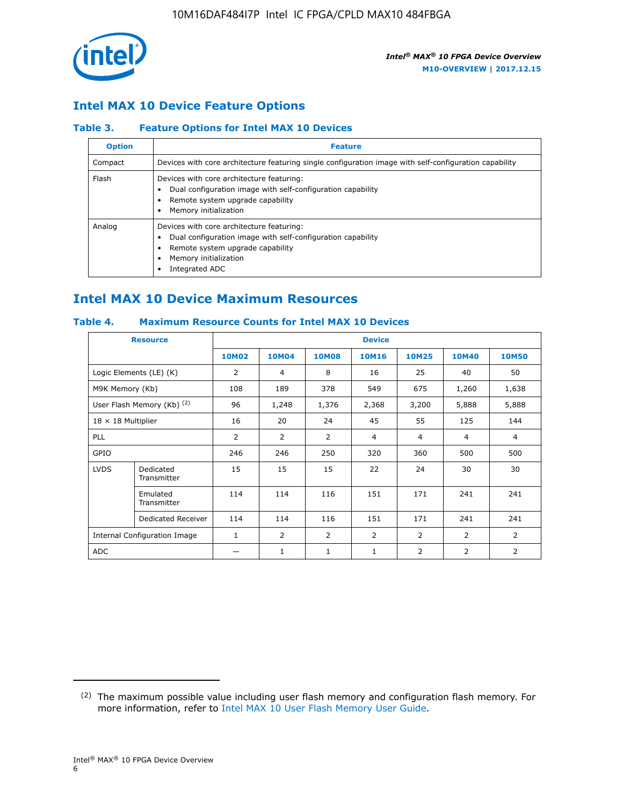

## **Intel MAX 10 Device Feature Options**

#### **Table 3. Feature Options for Intel MAX 10 Devices**

| <b>Option</b> | <b>Feature</b>                                                                                                                                                                          |
|---------------|-----------------------------------------------------------------------------------------------------------------------------------------------------------------------------------------|
| Compact       | Devices with core architecture featuring single configuration image with self-configuration capability                                                                                  |
| Flash         | Devices with core architecture featuring:<br>Dual configuration image with self-configuration capability<br>Remote system upgrade capability<br>Memory initialization                   |
| Analog        | Devices with core architecture featuring:<br>Dual configuration image with self-configuration capability<br>Remote system upgrade capability<br>Memory initialization<br>Integrated ADC |

## **Intel MAX 10 Device Maximum Resources**

#### **Table 4. Maximum Resource Counts for Intel MAX 10 Devices**

| <b>Resource</b>              |                            |              |                |              | <b>Device</b>  |                |              |                |
|------------------------------|----------------------------|--------------|----------------|--------------|----------------|----------------|--------------|----------------|
|                              |                            | <b>10M02</b> | 10M04          | <b>10M08</b> | <b>10M16</b>   | <b>10M25</b>   | <b>10M40</b> | <b>10M50</b>   |
|                              | Logic Elements (LE) (K)    | 2            | 4              | 8            | 16             | 25             | 40           | 50             |
| M9K Memory (Kb)              |                            | 108          | 189            | 378          | 549            | 675            | 1,260        | 1,638          |
|                              | User Flash Memory (Kb) (2) | 96           | 1,248          | 1,376        | 2,368          | 3,200          | 5,888        | 5,888          |
| $18 \times 18$ Multiplier    |                            | 16           | 20             | 24           | 45             | 55             | 125          | 144            |
| <b>PLL</b>                   |                            | 2            | $\overline{2}$ | 2            | $\overline{4}$ | $\overline{4}$ | 4            | $\overline{4}$ |
| GPIO                         |                            | 246          | 246            | 250          | 320            | 360            | 500          | 500            |
| <b>LVDS</b>                  | Dedicated<br>Transmitter   | 15           | 15             | 15           | 22             | 24             | 30           | 30             |
|                              | Emulated<br>Transmitter    | 114          | 114            | 116          | 151            | 171            | 241          | 241            |
|                              | Dedicated Receiver         | 114          | 114            | 116          | 151            | 171            | 241          | 241            |
| Internal Configuration Image |                            | $\mathbf{1}$ | $\overline{2}$ | 2            | $\overline{2}$ | $\overline{2}$ | 2            | $\overline{2}$ |
| ADC                          |                            |              | 1              | $\mathbf{1}$ | $\mathbf{1}$   | 2              | 2            | 2              |

<sup>(2)</sup> The maximum possible value including user flash memory and configuration flash memory. For more information, refer to [Intel MAX 10 User Flash Memory User Guide](https://www.altera.com/documentation/vgo1395753117436.html#vgo1395811844282).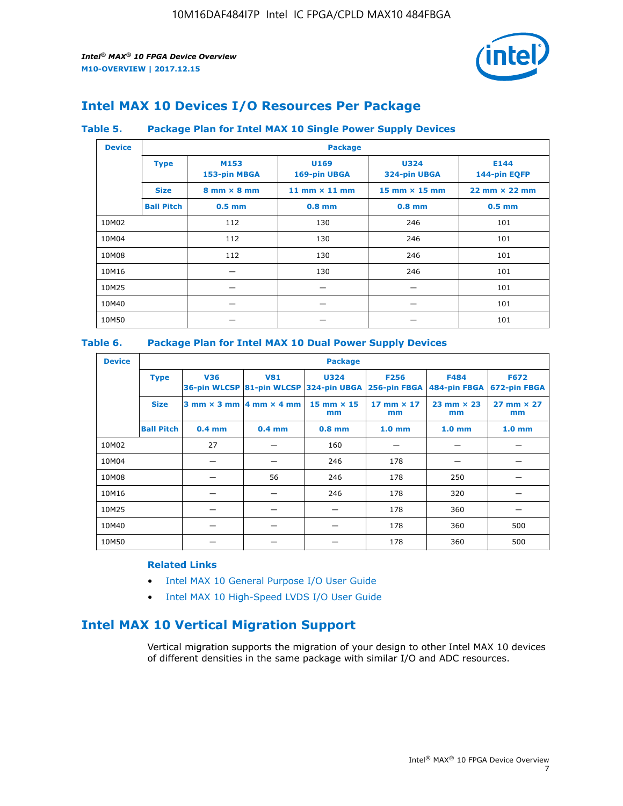

## **Intel MAX 10 Devices I/O Resources Per Package**

#### **Table 5. Package Plan for Intel MAX 10 Single Power Supply Devices**

| <b>Device</b> |                   | <b>Package</b>                     |                      |                                      |                                      |  |  |  |  |
|---------------|-------------------|------------------------------------|----------------------|--------------------------------------|--------------------------------------|--|--|--|--|
|               | <b>Type</b>       | M153<br>153-pin MBGA               | U169<br>169-pin UBGA | <b>U324</b><br>324-pin UBGA          | E144<br>144-pin EQFP                 |  |  |  |  |
|               | <b>Size</b>       | $8 \text{ mm} \times 8 \text{ mm}$ | 11 mm $\times$ 11 mm | $15 \text{ mm} \times 15 \text{ mm}$ | $22 \text{ mm} \times 22 \text{ mm}$ |  |  |  |  |
|               | <b>Ball Pitch</b> | $0.5$ mm                           | $0.8$ mm             | $0.8$ mm                             | $0.5$ mm                             |  |  |  |  |
| 10M02         |                   | 112                                | 130                  | 246                                  | 101                                  |  |  |  |  |
| 10M04         |                   | 112                                | 130                  | 246                                  | 101                                  |  |  |  |  |
| 10M08         |                   | 112                                | 130                  | 246                                  | 101                                  |  |  |  |  |
| 10M16         |                   |                                    | 130                  | 246                                  | 101                                  |  |  |  |  |
| 10M25         |                   |                                    |                      |                                      | 101                                  |  |  |  |  |
| 10M40         |                   |                                    |                      |                                      | 101                                  |  |  |  |  |
| 10M50         |                   |                                    |                      |                                      | 101                                  |  |  |  |  |

#### **Table 6. Package Plan for Intel MAX 10 Dual Power Supply Devices**

| <b>Device</b> |                   | <b>Package</b> |                                            |                                                                    |                         |                             |                             |  |  |
|---------------|-------------------|----------------|--------------------------------------------|--------------------------------------------------------------------|-------------------------|-----------------------------|-----------------------------|--|--|
|               | <b>Type</b>       | <b>V36</b>     | <b>V81</b>                                 | <b>U324</b><br>36-pin WLCSP 81-pin WLCSP 324-pin UBGA 256-pin FBGA | <b>F256</b>             | <b>F484</b><br>484-pin FBGA | <b>F672</b><br>672-pin FBGA |  |  |
|               | <b>Size</b>       |                | $3$ mm $\times$ 3 mm $ 4$ mm $\times$ 4 mm | $15$ mm $\times$ 15<br>mm                                          | 17 mm $\times$ 17<br>mm | $23$ mm $\times$ 23<br>mm   | $27$ mm $\times$ 27<br>mm   |  |  |
|               | <b>Ball Pitch</b> | $0.4$ mm       | $0.4$ mm                                   | $0.8$ mm                                                           | 1.0 <sub>mm</sub>       | 1.0 <sub>mm</sub>           | 1.0 <sub>mm</sub>           |  |  |
| 10M02         |                   | 27             |                                            | 160                                                                |                         |                             |                             |  |  |
| 10M04         |                   |                |                                            | 246                                                                | 178                     |                             |                             |  |  |
| 10M08         |                   |                | 56                                         | 246                                                                | 178                     | 250                         |                             |  |  |
| 10M16         |                   |                |                                            | 246                                                                | 178                     | 320                         |                             |  |  |
| 10M25         |                   |                |                                            |                                                                    | 178                     | 360                         |                             |  |  |
| 10M40         |                   |                |                                            |                                                                    | 178                     | 360                         | 500                         |  |  |
| 10M50         |                   |                |                                            |                                                                    | 178                     | 360                         | 500                         |  |  |

#### **Related Links**

- [Intel MAX 10 General Purpose I/O User Guide](https://www.altera.com/documentation/sam1393999966669.html#sam1394000084476)
- [Intel MAX 10 High-Speed LVDS I/O User Guide](https://www.altera.com/documentation/sam1394433606063.html#sam1394433911642)

## **Intel MAX 10 Vertical Migration Support**

Vertical migration supports the migration of your design to other Intel MAX 10 devices of different densities in the same package with similar I/O and ADC resources.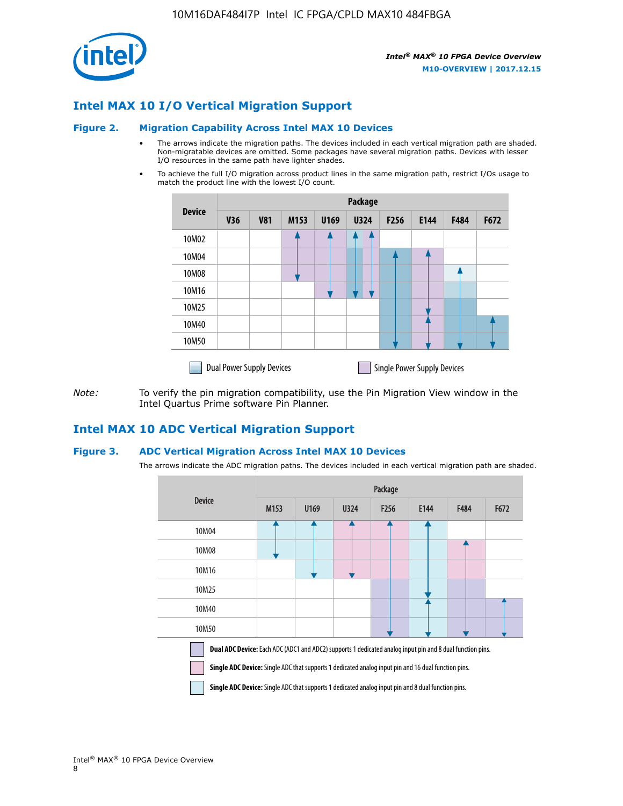

## **Intel MAX 10 I/O Vertical Migration Support**

#### **Figure 2. Migration Capability Across Intel MAX 10 Devices**

- The arrows indicate the migration paths. The devices included in each vertical migration path are shaded. Non-migratable devices are omitted. Some packages have several migration paths. Devices with lesser I/O resources in the same path have lighter shades.
- To achieve the full I/O migration across product lines in the same migration path, restrict I/Os usage to match the product line with the lowest I/O count.

|               | <b>Package</b>                   |            |      |      |             |                  |                                    |      |      |  |
|---------------|----------------------------------|------------|------|------|-------------|------------------|------------------------------------|------|------|--|
| <b>Device</b> | <b>V36</b>                       | <b>V81</b> | M153 | U169 | <b>U324</b> | F <sub>256</sub> | E144                               | F484 | F672 |  |
| 10M02         |                                  |            |      |      |             |                  |                                    |      |      |  |
| 10M04         |                                  |            |      |      |             |                  |                                    |      |      |  |
| 10M08         |                                  |            |      |      |             |                  |                                    |      |      |  |
| 10M16         |                                  |            |      |      |             |                  |                                    |      |      |  |
| 10M25         |                                  |            |      |      |             |                  |                                    |      |      |  |
| 10M40         |                                  |            |      |      |             |                  |                                    |      |      |  |
| 10M50         |                                  |            |      |      |             |                  |                                    |      |      |  |
|               | <b>Dual Power Supply Devices</b> |            |      |      |             |                  | <b>Single Power Supply Devices</b> |      |      |  |

*Note:* To verify the pin migration compatibility, use the Pin Migration View window in the Intel Quartus Prime software Pin Planner.

### **Intel MAX 10 ADC Vertical Migration Support**

#### **Figure 3. ADC Vertical Migration Across Intel MAX 10 Devices**

The arrows indicate the ADC migration paths. The devices included in each vertical migration path are shaded.

|                                                                                                                                                                                                                         | Package          |      |      |                  |      |             |      |  |  |
|-------------------------------------------------------------------------------------------------------------------------------------------------------------------------------------------------------------------------|------------------|------|------|------------------|------|-------------|------|--|--|
| <b>Device</b>                                                                                                                                                                                                           | M <sub>153</sub> | U169 | U324 | F <sub>256</sub> | E144 | <b>F484</b> | F672 |  |  |
| 10M04                                                                                                                                                                                                                   |                  |      |      |                  |      |             |      |  |  |
| 10M08                                                                                                                                                                                                                   |                  |      |      |                  |      |             |      |  |  |
| 10M16                                                                                                                                                                                                                   |                  |      |      |                  |      |             |      |  |  |
| 10M25                                                                                                                                                                                                                   |                  |      |      |                  |      |             |      |  |  |
| 10M40                                                                                                                                                                                                                   |                  |      |      |                  |      |             |      |  |  |
| 10M50                                                                                                                                                                                                                   |                  |      |      |                  |      |             |      |  |  |
| <b>Dual ADC Device:</b> Each ADC (ADC1 and ADC2) supports 1 dedicated analog input pin and 8 dual function pins.<br>Single ADC Device: Single ADC that supports 1 dedicated analog input pin and 16 dual function pins. |                  |      |      |                  |      |             |      |  |  |

**Single ADC Device:** Single ADC that supports 1 dedicated analog input pin and 8 dual function pins.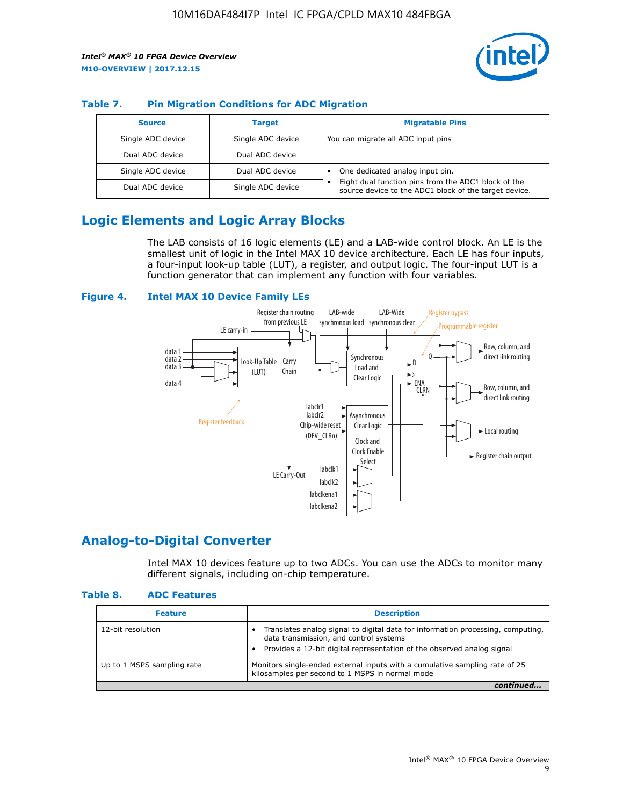

#### **Table 7. Pin Migration Conditions for ADC Migration**

| <b>Source</b>     | <b>Target</b>     | <b>Migratable Pins</b>                                                                                            |
|-------------------|-------------------|-------------------------------------------------------------------------------------------------------------------|
| Single ADC device | Single ADC device | You can migrate all ADC input pins                                                                                |
| Dual ADC device   | Dual ADC device   |                                                                                                                   |
| Single ADC device | Dual ADC device   | One dedicated analog input pin.                                                                                   |
| Dual ADC device   | Single ADC device | Eight dual function pins from the ADC1 block of the<br>٠<br>source device to the ADC1 block of the target device. |

## **Logic Elements and Logic Array Blocks**

The LAB consists of 16 logic elements (LE) and a LAB-wide control block. An LE is the smallest unit of logic in the Intel MAX 10 device architecture. Each LE has four inputs, a four-input look-up table (LUT), a register, and output logic. The four-input LUT is a function generator that can implement any function with four variables.

#### **Figure 4. Intel MAX 10 Device Family LEs**



### **Analog-to-Digital Converter**

Intel MAX 10 devices feature up to two ADCs. You can use the ADCs to monitor many different signals, including on-chip temperature.

#### **Table 8. ADC Features**

| <b>Feature</b>             | <b>Description</b>                                                                                                                                                                                  |
|----------------------------|-----------------------------------------------------------------------------------------------------------------------------------------------------------------------------------------------------|
| 12-bit resolution          | Translates analog signal to digital data for information processing, computing,<br>data transmission, and control systems<br>Provides a 12-bit digital representation of the observed analog signal |
| Up to 1 MSPS sampling rate | Monitors single-ended external inputs with a cumulative sampling rate of 25<br>kilosamples per second to 1 MSPS in normal mode                                                                      |
|                            |                                                                                                                                                                                                     |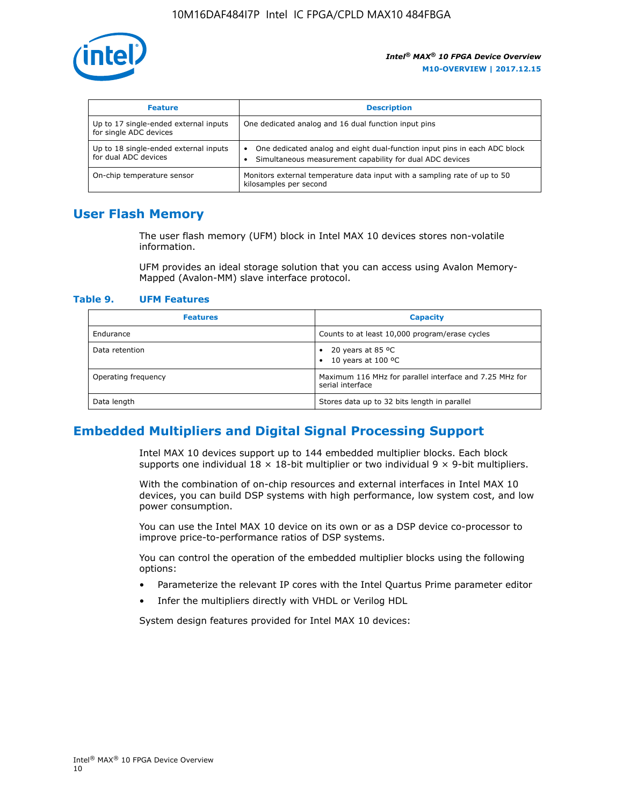

| <b>Feature</b>                                                  | <b>Description</b>                                                                                                                         |
|-----------------------------------------------------------------|--------------------------------------------------------------------------------------------------------------------------------------------|
| Up to 17 single-ended external inputs<br>for single ADC devices | One dedicated analog and 16 dual function input pins                                                                                       |
| Up to 18 single-ended external inputs<br>for dual ADC devices   | One dedicated analog and eight dual-function input pins in each ADC block<br>٠<br>Simultaneous measurement capability for dual ADC devices |
| On-chip temperature sensor                                      | Monitors external temperature data input with a sampling rate of up to 50<br>kilosamples per second                                        |

## **User Flash Memory**

The user flash memory (UFM) block in Intel MAX 10 devices stores non-volatile information.

UFM provides an ideal storage solution that you can access using Avalon Memory-Mapped (Avalon-MM) slave interface protocol.

#### **Table 9. UFM Features**

| <b>Features</b>     | <b>Capacity</b>                                                             |
|---------------------|-----------------------------------------------------------------------------|
| Endurance           | Counts to at least 10,000 program/erase cycles                              |
| Data retention      | 20 years at 85 $^{\circ}$ C<br>٠<br>10 years at 100 °C<br>$\bullet$         |
| Operating frequency | Maximum 116 MHz for parallel interface and 7.25 MHz for<br>serial interface |
| Data length         | Stores data up to 32 bits length in parallel                                |

## **Embedded Multipliers and Digital Signal Processing Support**

Intel MAX 10 devices support up to 144 embedded multiplier blocks. Each block supports one individual  $18 \times 18$ -bit multiplier or two individual  $9 \times 9$ -bit multipliers.

With the combination of on-chip resources and external interfaces in Intel MAX 10 devices, you can build DSP systems with high performance, low system cost, and low power consumption.

You can use the Intel MAX 10 device on its own or as a DSP device co-processor to improve price-to-performance ratios of DSP systems.

You can control the operation of the embedded multiplier blocks using the following options:

- Parameterize the relevant IP cores with the Intel Quartus Prime parameter editor
- Infer the multipliers directly with VHDL or Verilog HDL

System design features provided for Intel MAX 10 devices: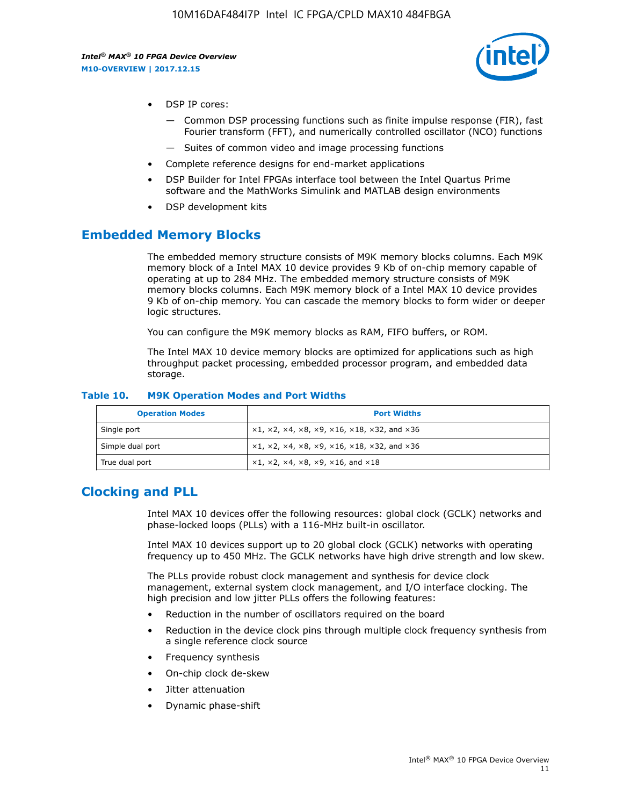

- DSP IP cores:
	- Common DSP processing functions such as finite impulse response (FIR), fast Fourier transform (FFT), and numerically controlled oscillator (NCO) functions
	- Suites of common video and image processing functions
- Complete reference designs for end-market applications
- DSP Builder for Intel FPGAs interface tool between the Intel Quartus Prime software and the MathWorks Simulink and MATLAB design environments
- DSP development kits

## **Embedded Memory Blocks**

The embedded memory structure consists of M9K memory blocks columns. Each M9K memory block of a Intel MAX 10 device provides 9 Kb of on-chip memory capable of operating at up to 284 MHz. The embedded memory structure consists of M9K memory blocks columns. Each M9K memory block of a Intel MAX 10 device provides 9 Kb of on-chip memory. You can cascade the memory blocks to form wider or deeper logic structures.

You can configure the M9K memory blocks as RAM, FIFO buffers, or ROM.

The Intel MAX 10 device memory blocks are optimized for applications such as high throughput packet processing, embedded processor program, and embedded data storage.

| <b>Operation Modes</b> | <b>Port Widths</b>                                                             |
|------------------------|--------------------------------------------------------------------------------|
| Single port            | $x1, x2, x4, x8, x9, x16, x18, x32, and x36$                                   |
| Simple dual port       | $x1, x2, x4, x8, x9, x16, x18, x32, and x36$                                   |
| True dual port         | $\times1, \times2, \times4, \times8, \times9, \times16, \text{ and } \times18$ |

#### **Table 10. M9K Operation Modes and Port Widths**

## **Clocking and PLL**

Intel MAX 10 devices offer the following resources: global clock (GCLK) networks and phase-locked loops (PLLs) with a 116-MHz built-in oscillator.

Intel MAX 10 devices support up to 20 global clock (GCLK) networks with operating frequency up to 450 MHz. The GCLK networks have high drive strength and low skew.

The PLLs provide robust clock management and synthesis for device clock management, external system clock management, and I/O interface clocking. The high precision and low jitter PLLs offers the following features:

- Reduction in the number of oscillators required on the board
- Reduction in the device clock pins through multiple clock frequency synthesis from a single reference clock source
- Frequency synthesis
- On-chip clock de-skew
- Jitter attenuation
- Dynamic phase-shift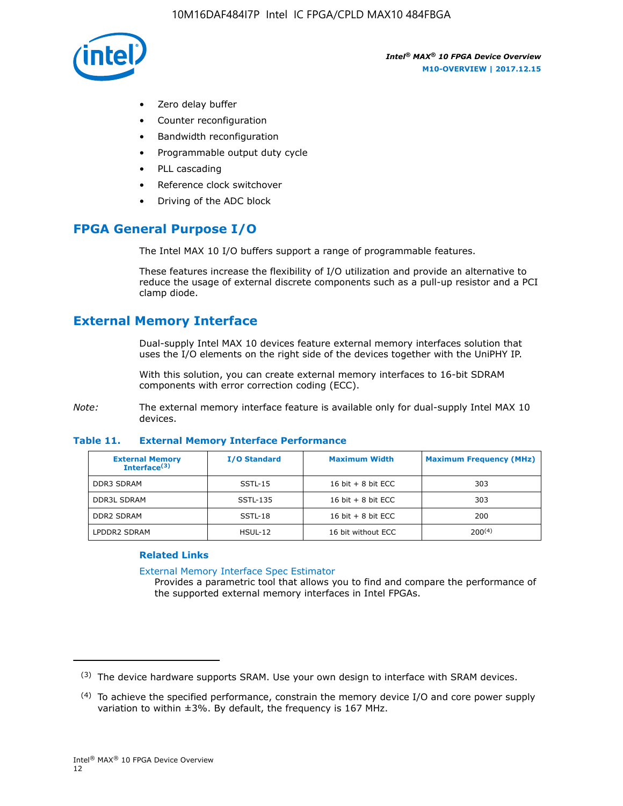

- Zero delay buffer
- Counter reconfiguration
- Bandwidth reconfiguration
- Programmable output duty cycle
- PLL cascading
- Reference clock switchover
- Driving of the ADC block

## **FPGA General Purpose I/O**

The Intel MAX 10 I/O buffers support a range of programmable features.

These features increase the flexibility of I/O utilization and provide an alternative to reduce the usage of external discrete components such as a pull-up resistor and a PCI clamp diode.

## **External Memory Interface**

Dual-supply Intel MAX 10 devices feature external memory interfaces solution that uses the I/O elements on the right side of the devices together with the UniPHY IP.

With this solution, you can create external memory interfaces to 16-bit SDRAM components with error correction coding (ECC).

*Note:* The external memory interface feature is available only for dual-supply Intel MAX 10 devices.

#### **Table 11. External Memory Interface Performance**

| <b>External Memory</b><br>Interface $(3)$ | <b>I/O Standard</b> | <b>Maximum Width</b> | <b>Maximum Frequency (MHz)</b> |
|-------------------------------------------|---------------------|----------------------|--------------------------------|
| <b>DDR3 SDRAM</b>                         | SSTL-15             | 16 bit $+8$ bit ECC  | 303                            |
| <b>DDR3L SDRAM</b>                        | SSTL-135            | 16 bit $+8$ bit ECC  | 303                            |
| <b>DDR2 SDRAM</b>                         | SSTL-18             | 16 bit $+8$ bit ECC  | 200                            |
| LPDDR2 SDRAM                              | $HSUL-12$           | 16 bit without ECC   | $200^{(4)}$                    |

#### **Related Links**

[External Memory Interface Spec Estimator](http://www.altera.com/technology/memory/estimator/mem-emif-index.html)

Provides a parametric tool that allows you to find and compare the performance of the supported external memory interfaces in Intel FPGAs.

 $(3)$  The device hardware supports SRAM. Use your own design to interface with SRAM devices.

 $(4)$  To achieve the specified performance, constrain the memory device I/O and core power supply variation to within ±3%. By default, the frequency is 167 MHz.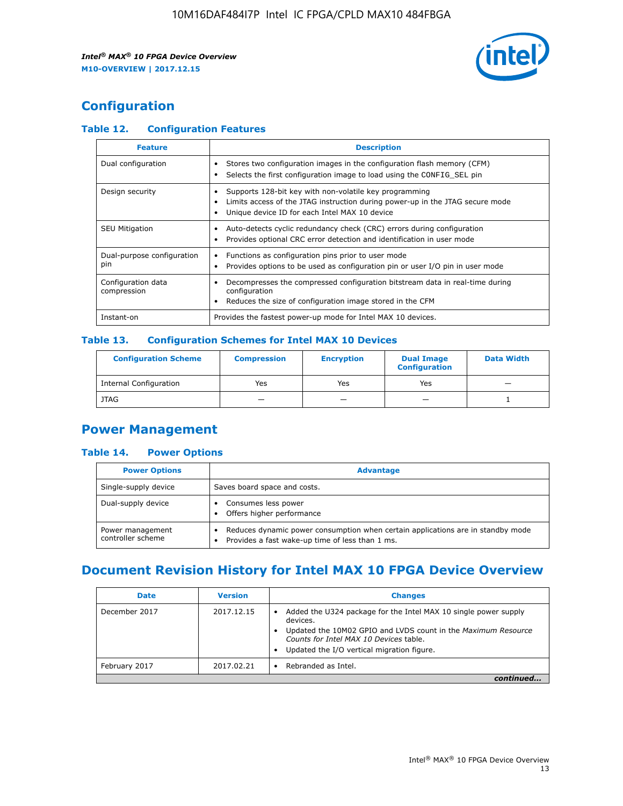

## **Configuration**

#### **Table 12. Configuration Features**

| <b>Feature</b>                    | <b>Description</b>                                                                                                                                                                       |  |
|-----------------------------------|------------------------------------------------------------------------------------------------------------------------------------------------------------------------------------------|--|
| Dual configuration                | Stores two configuration images in the configuration flash memory (CFM)<br>Selects the first configuration image to load using the CONFIG SEL pin                                        |  |
| Design security                   | Supports 128-bit key with non-volatile key programming<br>Limits access of the JTAG instruction during power-up in the JTAG secure mode<br>Unique device ID for each Intel MAX 10 device |  |
| <b>SEU Mitigation</b>             | Auto-detects cyclic redundancy check (CRC) errors during configuration<br>Provides optional CRC error detection and identification in user mode                                          |  |
| Dual-purpose configuration<br>pin | Functions as configuration pins prior to user mode<br>$\bullet$<br>Provides options to be used as configuration pin or user I/O pin in user mode                                         |  |
| Configuration data<br>compression | Decompresses the compressed configuration bitstream data in real-time during<br>configuration<br>Reduces the size of configuration image stored in the CFM                               |  |
| Instant-on                        | Provides the fastest power-up mode for Intel MAX 10 devices.                                                                                                                             |  |

#### **Table 13. Configuration Schemes for Intel MAX 10 Devices**

| <b>Configuration Scheme</b>   | <b>Compression</b>       | <b>Encryption</b> | <b>Dual Image</b><br><b>Configuration</b> | <b>Data Width</b> |
|-------------------------------|--------------------------|-------------------|-------------------------------------------|-------------------|
| <b>Internal Configuration</b> | Yes                      | Yes               | Yes                                       |                   |
| <b>JTAG</b>                   | $\overline{\phantom{a}}$ |                   | -                                         |                   |

## **Power Management**

#### **Table 14. Power Options**

| <b>Power Options</b>                  | <b>Advantage</b>                                                                                                                        |  |
|---------------------------------------|-----------------------------------------------------------------------------------------------------------------------------------------|--|
| Single-supply device                  | Saves board space and costs.                                                                                                            |  |
| Dual-supply device                    | Consumes less power<br>Offers higher performance<br>$\bullet$                                                                           |  |
| Power management<br>controller scheme | Reduces dynamic power consumption when certain applications are in standby mode<br>Provides a fast wake-up time of less than 1 ms.<br>٠ |  |

## **Document Revision History for Intel MAX 10 FPGA Device Overview**

| <b>Date</b>   | <b>Version</b> | <b>Changes</b>                                                                                                                                                                                                                       |
|---------------|----------------|--------------------------------------------------------------------------------------------------------------------------------------------------------------------------------------------------------------------------------------|
| December 2017 | 2017.12.15     | Added the U324 package for the Intel MAX 10 single power supply<br>devices.<br>Updated the 10M02 GPIO and LVDS count in the Maximum Resource<br>Counts for Intel MAX 10 Devices table.<br>Updated the I/O vertical migration figure. |
| February 2017 | 2017.02.21     | Rebranded as Intel.                                                                                                                                                                                                                  |
|               |                |                                                                                                                                                                                                                                      |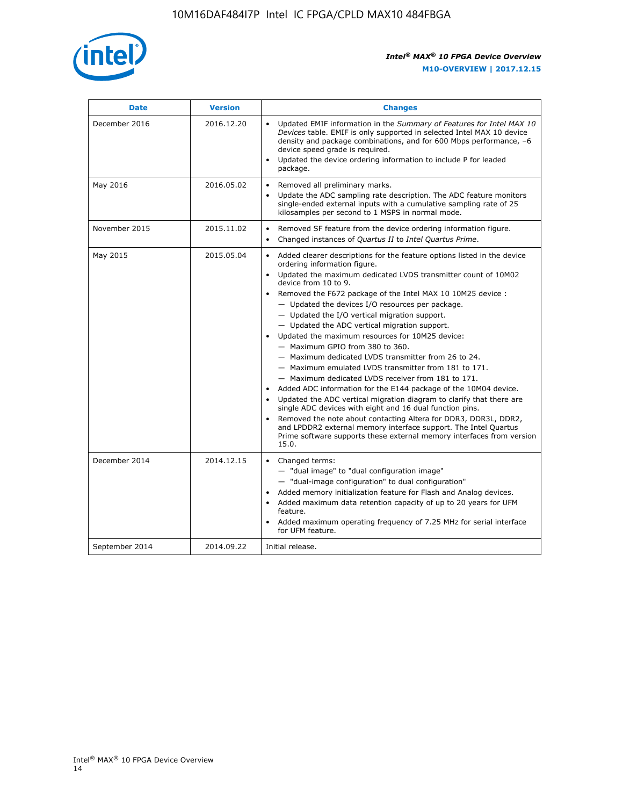

| <b>Date</b>    | <b>Version</b> | <b>Changes</b>                                                                                                                                                                                                                                                                                                                                                                                                                                                                                                                                                                                                                                                                                                                                                                                                                                                                                                                                                                                                                                                                                                                                           |  |
|----------------|----------------|----------------------------------------------------------------------------------------------------------------------------------------------------------------------------------------------------------------------------------------------------------------------------------------------------------------------------------------------------------------------------------------------------------------------------------------------------------------------------------------------------------------------------------------------------------------------------------------------------------------------------------------------------------------------------------------------------------------------------------------------------------------------------------------------------------------------------------------------------------------------------------------------------------------------------------------------------------------------------------------------------------------------------------------------------------------------------------------------------------------------------------------------------------|--|
| December 2016  | 2016.12.20     | • Updated EMIF information in the Summary of Features for Intel MAX 10<br>Devices table. EMIF is only supported in selected Intel MAX 10 device<br>density and package combinations, and for 600 Mbps performance, -6<br>device speed grade is required.<br>Updated the device ordering information to include P for leaded<br>package.                                                                                                                                                                                                                                                                                                                                                                                                                                                                                                                                                                                                                                                                                                                                                                                                                  |  |
| May 2016       | 2016.05.02     | Removed all preliminary marks.<br>Update the ADC sampling rate description. The ADC feature monitors<br>single-ended external inputs with a cumulative sampling rate of 25<br>kilosamples per second to 1 MSPS in normal mode.                                                                                                                                                                                                                                                                                                                                                                                                                                                                                                                                                                                                                                                                                                                                                                                                                                                                                                                           |  |
| November 2015  | 2015.11.02     | Removed SF feature from the device ordering information figure.<br>$\bullet$<br>Changed instances of Quartus II to Intel Quartus Prime.<br>$\bullet$                                                                                                                                                                                                                                                                                                                                                                                                                                                                                                                                                                                                                                                                                                                                                                                                                                                                                                                                                                                                     |  |
| May 2015       | 2015.05.04     | Added clearer descriptions for the feature options listed in the device<br>$\bullet$<br>ordering information figure.<br>Updated the maximum dedicated LVDS transmitter count of 10M02<br>$\bullet$<br>device from 10 to 9.<br>Removed the F672 package of the Intel MAX 10 10M25 device :<br>- Updated the devices I/O resources per package.<br>$-$ Updated the I/O vertical migration support.<br>- Updated the ADC vertical migration support.<br>Updated the maximum resources for 10M25 device:<br>- Maximum GPIO from 380 to 360.<br>- Maximum dedicated LVDS transmitter from 26 to 24.<br>- Maximum emulated LVDS transmitter from 181 to 171.<br>- Maximum dedicated LVDS receiver from 181 to 171.<br>Added ADC information for the E144 package of the 10M04 device.<br>$\bullet$<br>Updated the ADC vertical migration diagram to clarify that there are<br>single ADC devices with eight and 16 dual function pins.<br>Removed the note about contacting Altera for DDR3, DDR3L, DDR2,<br>and LPDDR2 external memory interface support. The Intel Quartus<br>Prime software supports these external memory interfaces from version<br>15.0. |  |
| December 2014  | 2014.12.15     | $\bullet$<br>Changed terms:<br>- "dual image" to "dual configuration image"<br>- "dual-image configuration" to dual configuration"<br>Added memory initialization feature for Flash and Analog devices.<br>Added maximum data retention capacity of up to 20 years for UFM<br>$\bullet$<br>feature.<br>Added maximum operating frequency of 7.25 MHz for serial interface<br>for UFM feature.                                                                                                                                                                                                                                                                                                                                                                                                                                                                                                                                                                                                                                                                                                                                                            |  |
| September 2014 | 2014.09.22     | Initial release.                                                                                                                                                                                                                                                                                                                                                                                                                                                                                                                                                                                                                                                                                                                                                                                                                                                                                                                                                                                                                                                                                                                                         |  |